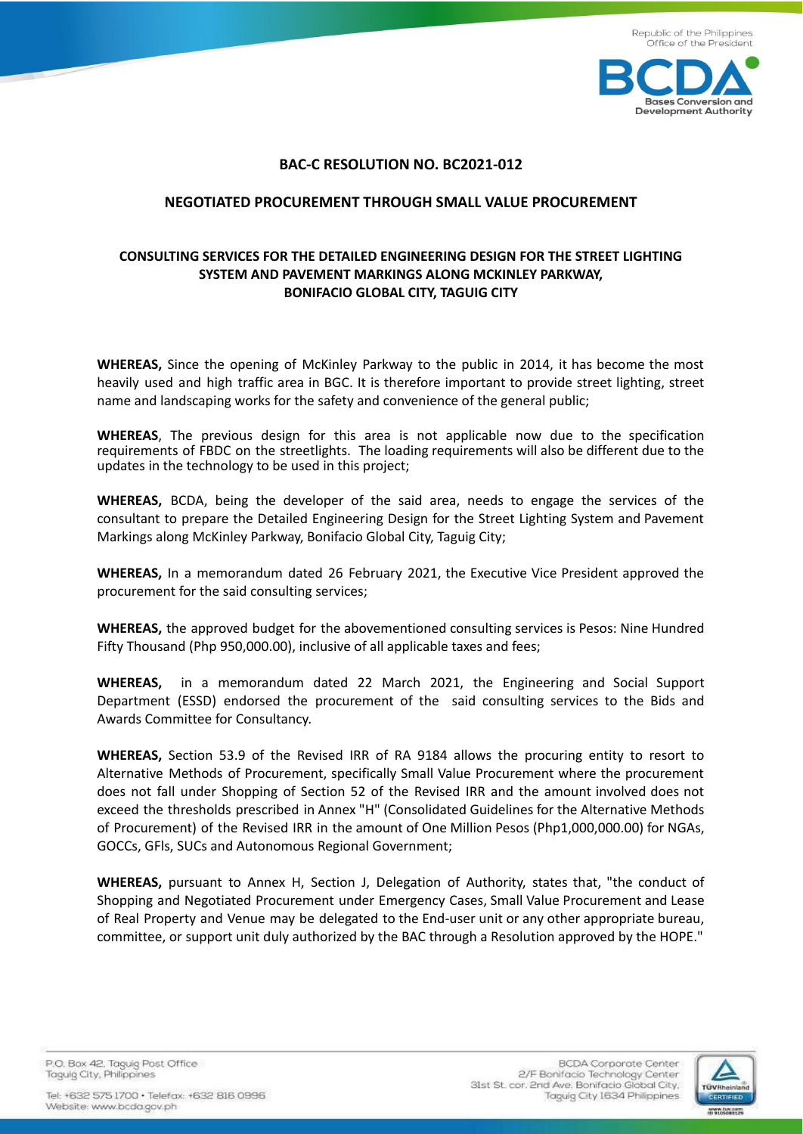

## **BAC-C RESOLUTION NO. BC2021-012**

## **NEGOTIATED PROCUREMENT THROUGH SMALL VALUE PROCUREMENT**

## **CONSULTING SERVICES FOR THE DETAILED ENGINEERING DESIGN FOR THE STREET LIGHTING SYSTEM AND PAVEMENT MARKINGS ALONG MCKINLEY PARKWAY, BONIFACIO GLOBAL CITY, TAGUIG CITY**

**WHEREAS,** Since the opening of McKinley Parkway to the public in 2014, it has become the most heavily used and high traffic area in BGC. It is therefore important to provide street lighting, street name and landscaping works for the safety and convenience of the general public;

**WHEREAS**, The previous design for this area is not applicable now due to the specification requirements of FBDC on the streetlights. The loading requirements will also be different due to the updates in the technology to be used in this project;

**WHEREAS,** BCDA, being the developer of the said area, needs to engage the services of the consultant to prepare the Detailed Engineering Design for the Street Lighting System and Pavement Markings along McKinley Parkway, Bonifacio Global City, Taguig City;

**WHEREAS,** In a memorandum dated 26 February 2021, the Executive Vice President approved the procurement for the said consulting services;

**WHEREAS,** the approved budget for the abovementioned consulting services is Pesos: Nine Hundred Fifty Thousand (Php 950,000.00), inclusive of all applicable taxes and fees;

**WHEREAS,** in a memorandum dated 22 March 2021, the Engineering and Social Support Department (ESSD) endorsed the procurement of the said consulting services to the Bids and Awards Committee for Consultancy.

**WHEREAS,** Section 53.9 of the Revised IRR of RA 9184 allows the procuring entity to resort to Alternative Methods of Procurement, specifically Small Value Procurement where the procurement does not fall under Shopping of Section 52 of the Revised IRR and the amount involved does not exceed the thresholds prescribed in Annex "H" (Consolidated Guidelines for the Alternative Methods of Procurement) of the Revised IRR in the amount of One Million Pesos (Php1,000,000.00) for NGAs, GOCCs, GFls, SUCs and Autonomous Regional Government;

**WHEREAS,** pursuant to Annex H, Section J, Delegation of Authority, states that, "the conduct of Shopping and Negotiated Procurement under Emergency Cases, Small Value Procurement and Lease of Real Property and Venue may be delegated to the End-user unit or any other appropriate bureau, committee, or support unit duly authorized by the BAC through a Resolution approved by the HOPE."

P.O. Box 42. Taguig Post Office Taguig City, Philippines